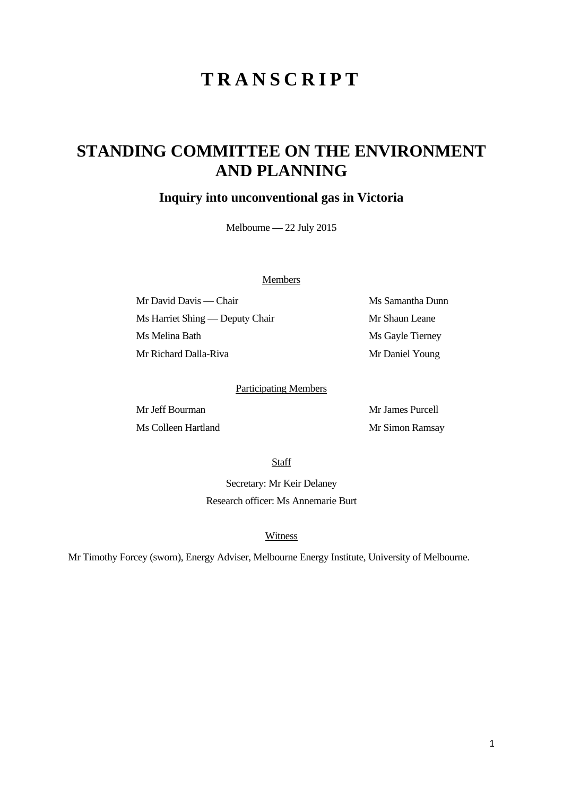# **TRANSCRIPT**

## **STANDING COMMITTEE ON THE ENVIRONMENT AND PLANNING**

### **Inquiry into unconventional gas in Victoria**

Melbourne — 22 July 2015

#### Members

Mr David Davis — Chair Ms Samantha Dunn Ms Harriet Shing — Deputy Chair Mr Shaun Leane Ms Melina Bath Ms Gayle Tierney Mr Richard Dalla-Riva Mr Daniel Young

#### Participating Members

Mr James Purcell Ms Colleen Hartland Mr Simon Ramsay

**Staff** 

Secretary: Mr Keir Delaney Research officer: Ms Annemarie Burt

#### Witness

Mr Timothy Forcey (sworn), Energy Adviser, Melbourne Energy Institute, University of Melbourne.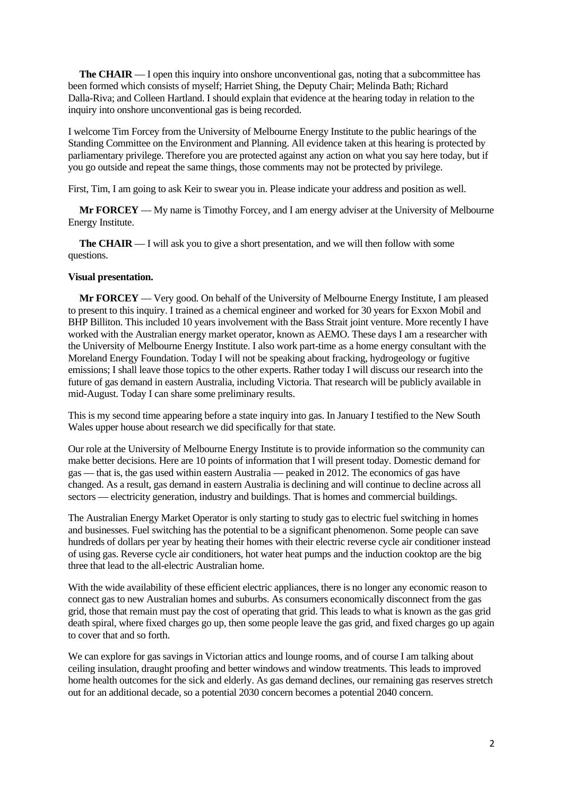**The CHAIR** — I open this inquiry into onshore unconventional gas, noting that a subcommittee has been formed which consists of myself; Harriet Shing, the Deputy Chair; Melinda Bath; Richard Dalla-Riva; and Colleen Hartland. I should explain that evidence at the hearing today in relation to the inquiry into onshore unconventional gas is being recorded.

I welcome Tim Forcey from the University of Melbourne Energy Institute to the public hearings of the Standing Committee on the Environment and Planning. All evidence taken at this hearing is protected by parliamentary privilege. Therefore you are protected against any action on what you say here today, but if you go outside and repeat the same things, those comments may not be protected by privilege.

First, Tim, I am going to ask Keir to swear you in. Please indicate your address and position as well.

**Mr FORCEY** — My name is Timothy Forcey, and I am energy adviser at the University of Melbourne Energy Institute.

**The CHAIR** — I will ask you to give a short presentation, and we will then follow with some questions.

#### **Visual presentation.**

**Mr FORCEY** — Very good. On behalf of the University of Melbourne Energy Institute, I am pleased to present to this inquiry. I trained as a chemical engineer and worked for 30 years for Exxon Mobil and BHP Billiton. This included 10 years involvement with the Bass Strait joint venture. More recently I have worked with the Australian energy market operator, known as AEMO. These days I am a researcher with the University of Melbourne Energy Institute. I also work part-time as a home energy consultant with the Moreland Energy Foundation. Today I will not be speaking about fracking, hydrogeology or fugitive emissions; I shall leave those topics to the other experts. Rather today I will discuss our research into the future of gas demand in eastern Australia, including Victoria. That research will be publicly available in mid-August. Today I can share some preliminary results.

This is my second time appearing before a state inquiry into gas. In January I testified to the New South Wales upper house about research we did specifically for that state.

Our role at the University of Melbourne Energy Institute is to provide information so the community can make better decisions. Here are 10 points of information that I will present today. Domestic demand for gas — that is, the gas used within eastern Australia — peaked in 2012. The economics of gas have changed. As a result, gas demand in eastern Australia is declining and will continue to decline across all sectors — electricity generation, industry and buildings. That is homes and commercial buildings.

The Australian Energy Market Operator is only starting to study gas to electric fuel switching in homes and businesses. Fuel switching has the potential to be a significant phenomenon. Some people can save hundreds of dollars per year by heating their homes with their electric reverse cycle air conditioner instead of using gas. Reverse cycle air conditioners, hot water heat pumps and the induction cooktop are the big three that lead to the all-electric Australian home.

With the wide availability of these efficient electric appliances, there is no longer any economic reason to connect gas to new Australian homes and suburbs. As consumers economically disconnect from the gas grid, those that remain must pay the cost of operating that grid. This leads to what is known as the gas grid death spiral, where fixed charges go up, then some people leave the gas grid, and fixed charges go up again to cover that and so forth.

We can explore for gas savings in Victorian attics and lounge rooms, and of course I am talking about ceiling insulation, draught proofing and better windows and window treatments. This leads to improved home health outcomes for the sick and elderly. As gas demand declines, our remaining gas reserves stretch out for an additional decade, so a potential 2030 concern becomes a potential 2040 concern.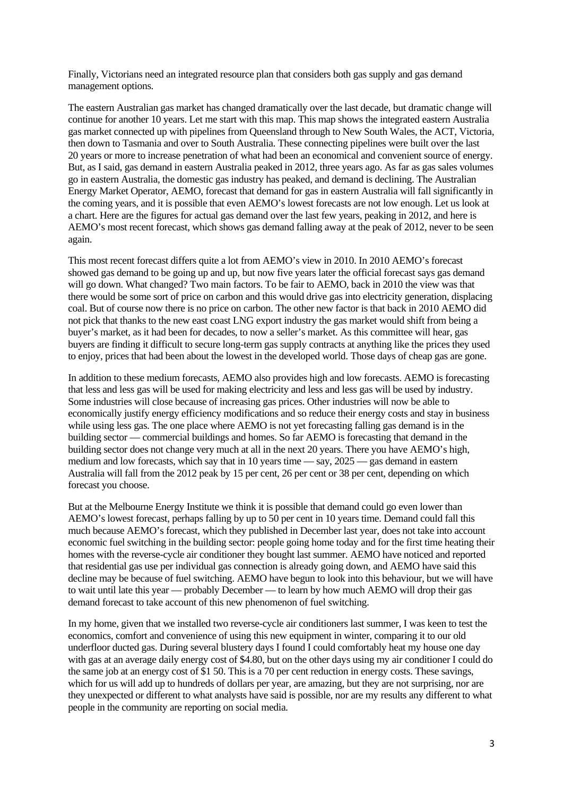Finally, Victorians need an integrated resource plan that considers both gas supply and gas demand management options.

The eastern Australian gas market has changed dramatically over the last decade, but dramatic change will continue for another 10 years. Let me start with this map. This map shows the integrated eastern Australia gas market connected up with pipelines from Queensland through to New South Wales, the ACT, Victoria, then down to Tasmania and over to South Australia. These connecting pipelines were built over the last 20 years or more to increase penetration of what had been an economical and convenient source of energy. But, as I said, gas demand in eastern Australia peaked in 2012, three years ago. As far as gas sales volumes go in eastern Australia, the domestic gas industry has peaked, and demand is declining. The Australian Energy Market Operator, AEMO, forecast that demand for gas in eastern Australia will fall significantly in the coming years, and it is possible that even AEMO's lowest forecasts are not low enough. Let us look at a chart. Here are the figures for actual gas demand over the last few years, peaking in 2012, and here is AEMO's most recent forecast, which shows gas demand falling away at the peak of 2012, never to be seen again.

This most recent forecast differs quite a lot from AEMO's view in 2010. In 2010 AEMO's forecast showed gas demand to be going up and up, but now five years later the official forecast says gas demand will go down. What changed? Two main factors. To be fair to AEMO, back in 2010 the view was that there would be some sort of price on carbon and this would drive gas into electricity generation, displacing coal. But of course now there is no price on carbon. The other new factor is that back in 2010 AEMO did not pick that thanks to the new east coast LNG export industry the gas market would shift from being a buyer's market, as it had been for decades, to now a seller's market. As this committee will hear, gas buyers are finding it difficult to secure long-term gas supply contracts at anything like the prices they used to enjoy, prices that had been about the lowest in the developed world. Those days of cheap gas are gone.

In addition to these medium forecasts, AEMO also provides high and low forecasts. AEMO is forecasting that less and less gas will be used for making electricity and less and less gas will be used by industry. Some industries will close because of increasing gas prices. Other industries will now be able to economically justify energy efficiency modifications and so reduce their energy costs and stay in business while using less gas. The one place where AEMO is not yet forecasting falling gas demand is in the building sector — commercial buildings and homes. So far AEMO is forecasting that demand in the building sector does not change very much at all in the next 20 years. There you have AEMO's high, medium and low forecasts, which say that in 10 years time — say, 2025 — gas demand in eastern Australia will fall from the 2012 peak by 15 per cent, 26 per cent or 38 per cent, depending on which forecast you choose.

But at the Melbourne Energy Institute we think it is possible that demand could go even lower than AEMO's lowest forecast, perhaps falling by up to 50 per cent in 10 years time. Demand could fall this much because AEMO's forecast, which they published in December last year, does not take into account economic fuel switching in the building sector: people going home today and for the first time heating their homes with the reverse-cycle air conditioner they bought last summer. AEMO have noticed and reported that residential gas use per individual gas connection is already going down, and AEMO have said this decline may be because of fuel switching. AEMO have begun to look into this behaviour, but we will have to wait until late this year — probably December — to learn by how much AEMO will drop their gas demand forecast to take account of this new phenomenon of fuel switching.

In my home, given that we installed two reverse-cycle air conditioners last summer, I was keen to test the economics, comfort and convenience of using this new equipment in winter, comparing it to our old underfloor ducted gas. During several blustery days I found I could comfortably heat my house one day with gas at an average daily energy cost of \$4.80, but on the other days using my air conditioner I could do the same job at an energy cost of \$1 50. This is a 70 per cent reduction in energy costs. These savings, which for us will add up to hundreds of dollars per year, are amazing, but they are not surprising, nor are they unexpected or different to what analysts have said is possible, nor are my results any different to what people in the community are reporting on social media.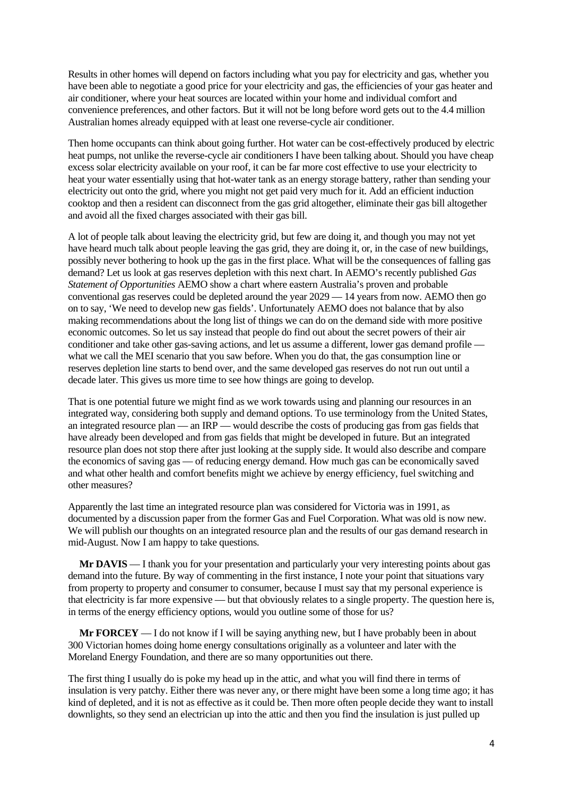Results in other homes will depend on factors including what you pay for electricity and gas, whether you have been able to negotiate a good price for your electricity and gas, the efficiencies of your gas heater and air conditioner, where your heat sources are located within your home and individual comfort and convenience preferences, and other factors. But it will not be long before word gets out to the 4.4 million Australian homes already equipped with at least one reverse-cycle air conditioner.

Then home occupants can think about going further. Hot water can be cost-effectively produced by electric heat pumps, not unlike the reverse-cycle air conditioners I have been talking about. Should you have cheap excess solar electricity available on your roof, it can be far more cost effective to use your electricity to heat your water essentially using that hot-water tank as an energy storage battery, rather than sending your electricity out onto the grid, where you might not get paid very much for it. Add an efficient induction cooktop and then a resident can disconnect from the gas grid altogether, eliminate their gas bill altogether and avoid all the fixed charges associated with their gas bill.

A lot of people talk about leaving the electricity grid, but few are doing it, and though you may not yet have heard much talk about people leaving the gas grid, they are doing it, or, in the case of new buildings, possibly never bothering to hook up the gas in the first place. What will be the consequences of falling gas demand? Let us look at gas reserves depletion with this next chart. In AEMO's recently published *Gas Statement of Opportunities* AEMO show a chart where eastern Australia's proven and probable conventional gas reserves could be depleted around the year 2029 — 14 years from now. AEMO then go on to say, 'We need to develop new gas fields'. Unfortunately AEMO does not balance that by also making recommendations about the long list of things we can do on the demand side with more positive economic outcomes. So let us say instead that people do find out about the secret powers of their air conditioner and take other gas-saving actions, and let us assume a different, lower gas demand profile what we call the MEI scenario that you saw before. When you do that, the gas consumption line or reserves depletion line starts to bend over, and the same developed gas reserves do not run out until a decade later. This gives us more time to see how things are going to develop.

That is one potential future we might find as we work towards using and planning our resources in an integrated way, considering both supply and demand options. To use terminology from the United States, an integrated resource plan — an IRP — would describe the costs of producing gas from gas fields that have already been developed and from gas fields that might be developed in future. But an integrated resource plan does not stop there after just looking at the supply side. It would also describe and compare the economics of saving gas — of reducing energy demand. How much gas can be economically saved and what other health and comfort benefits might we achieve by energy efficiency, fuel switching and other measures?

Apparently the last time an integrated resource plan was considered for Victoria was in 1991, as documented by a discussion paper from the former Gas and Fuel Corporation. What was old is now new. We will publish our thoughts on an integrated resource plan and the results of our gas demand research in mid-August. Now I am happy to take questions.

**Mr DAVIS** — I thank you for your presentation and particularly your very interesting points about gas demand into the future. By way of commenting in the first instance, I note your point that situations vary from property to property and consumer to consumer, because I must say that my personal experience is that electricity is far more expensive — but that obviously relates to a single property. The question here is, in terms of the energy efficiency options, would you outline some of those for us?

**Mr FORCEY** — I do not know if I will be saying anything new, but I have probably been in about 300 Victorian homes doing home energy consultations originally as a volunteer and later with the Moreland Energy Foundation, and there are so many opportunities out there.

The first thing I usually do is poke my head up in the attic, and what you will find there in terms of insulation is very patchy. Either there was never any, or there might have been some a long time ago; it has kind of depleted, and it is not as effective as it could be. Then more often people decide they want to install downlights, so they send an electrician up into the attic and then you find the insulation is just pulled up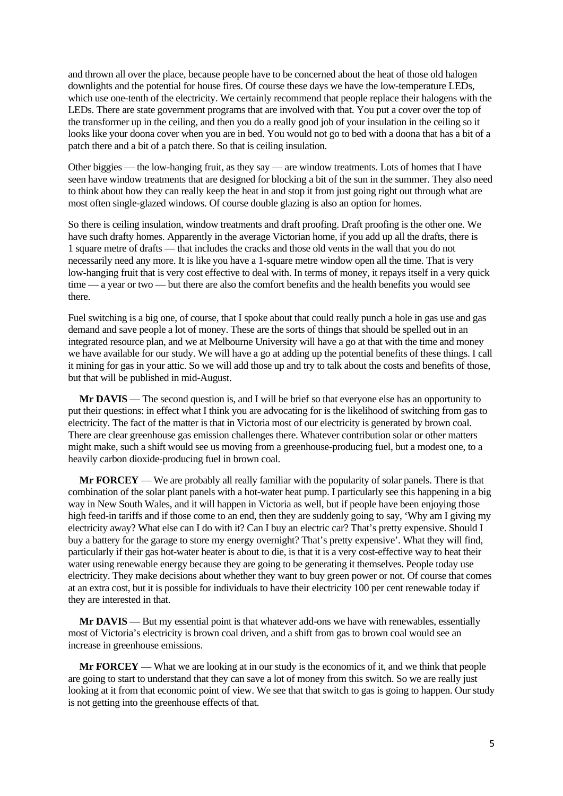and thrown all over the place, because people have to be concerned about the heat of those old halogen downlights and the potential for house fires. Of course these days we have the low-temperature LEDs, which use one-tenth of the electricity. We certainly recommend that people replace their halogens with the LEDs. There are state government programs that are involved with that. You put a cover over the top of the transformer up in the ceiling, and then you do a really good job of your insulation in the ceiling so it looks like your doona cover when you are in bed. You would not go to bed with a doona that has a bit of a patch there and a bit of a patch there. So that is ceiling insulation.

Other biggies — the low-hanging fruit, as they say — are window treatments. Lots of homes that I have seen have window treatments that are designed for blocking a bit of the sun in the summer. They also need to think about how they can really keep the heat in and stop it from just going right out through what are most often single-glazed windows. Of course double glazing is also an option for homes.

So there is ceiling insulation, window treatments and draft proofing. Draft proofing is the other one. We have such drafty homes. Apparently in the average Victorian home, if you add up all the drafts, there is 1 square metre of drafts — that includes the cracks and those old vents in the wall that you do not necessarily need any more. It is like you have a 1-square metre window open all the time. That is very low-hanging fruit that is very cost effective to deal with. In terms of money, it repays itself in a very quick time — a year or two — but there are also the comfort benefits and the health benefits you would see there.

Fuel switching is a big one, of course, that I spoke about that could really punch a hole in gas use and gas demand and save people a lot of money. These are the sorts of things that should be spelled out in an integrated resource plan, and we at Melbourne University will have a go at that with the time and money we have available for our study. We will have a go at adding up the potential benefits of these things. I call it mining for gas in your attic. So we will add those up and try to talk about the costs and benefits of those, but that will be published in mid-August.

**Mr DAVIS** — The second question is, and I will be brief so that everyone else has an opportunity to put their questions: in effect what I think you are advocating for is the likelihood of switching from gas to electricity. The fact of the matter is that in Victoria most of our electricity is generated by brown coal. There are clear greenhouse gas emission challenges there. Whatever contribution solar or other matters might make, such a shift would see us moving from a greenhouse-producing fuel, but a modest one, to a heavily carbon dioxide-producing fuel in brown coal.

**Mr FORCEY** — We are probably all really familiar with the popularity of solar panels. There is that combination of the solar plant panels with a hot-water heat pump. I particularly see this happening in a big way in New South Wales, and it will happen in Victoria as well, but if people have been enjoying those high feed-in tariffs and if those come to an end, then they are suddenly going to say, 'Why am I giving my electricity away? What else can I do with it? Can I buy an electric car? That's pretty expensive. Should I buy a battery for the garage to store my energy overnight? That's pretty expensive'. What they will find, particularly if their gas hot-water heater is about to die, is that it is a very cost-effective way to heat their water using renewable energy because they are going to be generating it themselves. People today use electricity. They make decisions about whether they want to buy green power or not. Of course that comes at an extra cost, but it is possible for individuals to have their electricity 100 per cent renewable today if they are interested in that.

**Mr DAVIS** — But my essential point is that whatever add-ons we have with renewables, essentially most of Victoria's electricity is brown coal driven, and a shift from gas to brown coal would see an increase in greenhouse emissions.

**Mr FORCEY** — What we are looking at in our study is the economics of it, and we think that people are going to start to understand that they can save a lot of money from this switch. So we are really just looking at it from that economic point of view. We see that that switch to gas is going to happen. Our study is not getting into the greenhouse effects of that.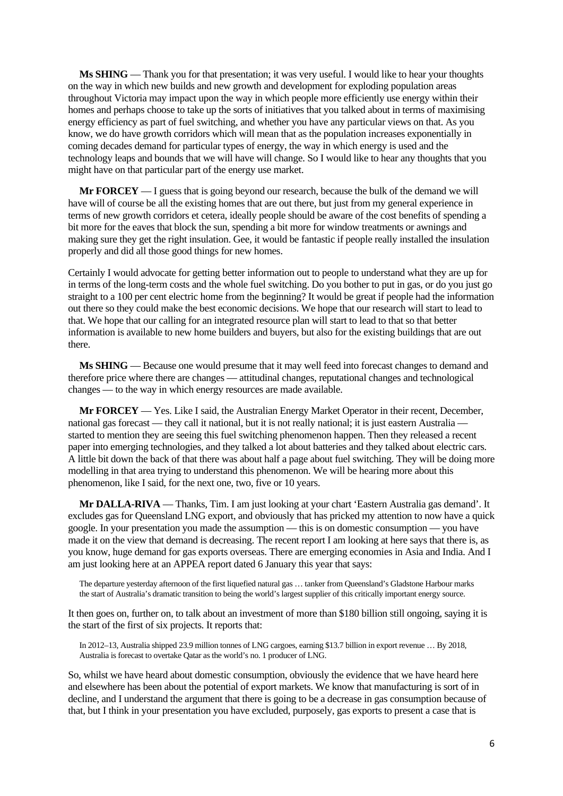**Ms SHING** — Thank you for that presentation; it was very useful. I would like to hear your thoughts on the way in which new builds and new growth and development for exploding population areas throughout Victoria may impact upon the way in which people more efficiently use energy within their homes and perhaps choose to take up the sorts of initiatives that you talked about in terms of maximising energy efficiency as part of fuel switching, and whether you have any particular views on that. As you know, we do have growth corridors which will mean that as the population increases exponentially in coming decades demand for particular types of energy, the way in which energy is used and the technology leaps and bounds that we will have will change. So I would like to hear any thoughts that you might have on that particular part of the energy use market.

**Mr FORCEY** — I guess that is going beyond our research, because the bulk of the demand we will have will of course be all the existing homes that are out there, but just from my general experience in terms of new growth corridors et cetera, ideally people should be aware of the cost benefits of spending a bit more for the eaves that block the sun, spending a bit more for window treatments or awnings and making sure they get the right insulation. Gee, it would be fantastic if people really installed the insulation properly and did all those good things for new homes.

Certainly I would advocate for getting better information out to people to understand what they are up for in terms of the long-term costs and the whole fuel switching. Do you bother to put in gas, or do you just go straight to a 100 per cent electric home from the beginning? It would be great if people had the information out there so they could make the best economic decisions. We hope that our research will start to lead to that. We hope that our calling for an integrated resource plan will start to lead to that so that better information is available to new home builders and buyers, but also for the existing buildings that are out there.

**Ms SHING** — Because one would presume that it may well feed into forecast changes to demand and therefore price where there are changes — attitudinal changes, reputational changes and technological changes — to the way in which energy resources are made available.

**Mr FORCEY** — Yes. Like I said, the Australian Energy Market Operator in their recent, December, national gas forecast — they call it national, but it is not really national; it is just eastern Australia started to mention they are seeing this fuel switching phenomenon happen. Then they released a recent paper into emerging technologies, and they talked a lot about batteries and they talked about electric cars. A little bit down the back of that there was about half a page about fuel switching. They will be doing more modelling in that area trying to understand this phenomenon. We will be hearing more about this phenomenon, like I said, for the next one, two, five or 10 years.

**Mr DALLA-RIVA** — Thanks, Tim. I am just looking at your chart 'Eastern Australia gas demand'. It excludes gas for Queensland LNG export, and obviously that has pricked my attention to now have a quick google. In your presentation you made the assumption — this is on domestic consumption — you have made it on the view that demand is decreasing. The recent report I am looking at here says that there is, as you know, huge demand for gas exports overseas. There are emerging economies in Asia and India. And I am just looking here at an APPEA report dated 6 January this year that says:

The departure yesterday afternoon of the first liquefied natural gas … tanker from Queensland's Gladstone Harbour marks the start of Australia's dramatic transition to being the world's largest supplier of this critically important energy source.

It then goes on, further on, to talk about an investment of more than \$180 billion still ongoing, saying it is the start of the first of six projects. It reports that:

In 2012–13, Australia shipped 23.9 million tonnes of LNG cargoes, earning \$13.7 billion in export revenue … By 2018, Australia is forecast to overtake Qatar as the world's no. 1 producer of LNG.

So, whilst we have heard about domestic consumption, obviously the evidence that we have heard here and elsewhere has been about the potential of export markets. We know that manufacturing is sort of in decline, and I understand the argument that there is going to be a decrease in gas consumption because of that, but I think in your presentation you have excluded, purposely, gas exports to present a case that is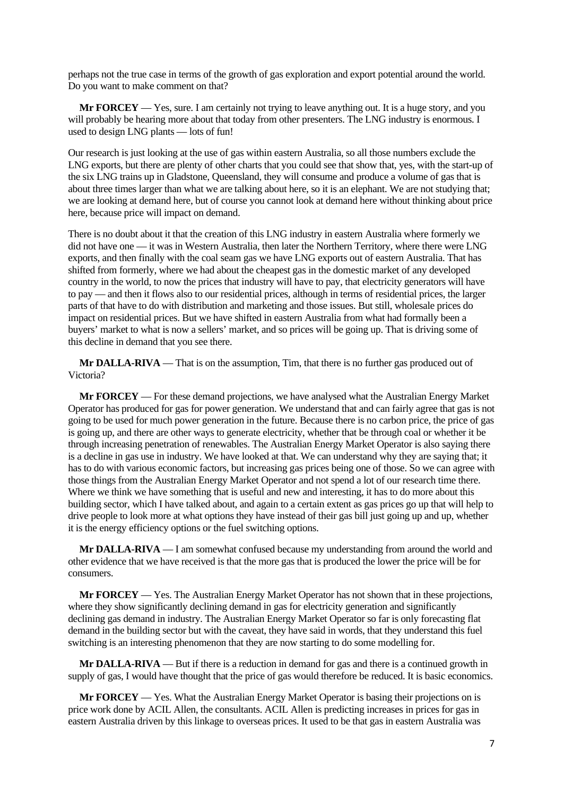perhaps not the true case in terms of the growth of gas exploration and export potential around the world. Do you want to make comment on that?

**Mr FORCEY** — Yes, sure. I am certainly not trying to leave anything out. It is a huge story, and you will probably be hearing more about that today from other presenters. The LNG industry is enormous. I used to design LNG plants — lots of fun!

Our research is just looking at the use of gas within eastern Australia, so all those numbers exclude the LNG exports, but there are plenty of other charts that you could see that show that, yes, with the start-up of the six LNG trains up in Gladstone, Queensland, they will consume and produce a volume of gas that is about three times larger than what we are talking about here, so it is an elephant. We are not studying that; we are looking at demand here, but of course you cannot look at demand here without thinking about price here, because price will impact on demand.

There is no doubt about it that the creation of this LNG industry in eastern Australia where formerly we did not have one — it was in Western Australia, then later the Northern Territory, where there were LNG exports, and then finally with the coal seam gas we have LNG exports out of eastern Australia. That has shifted from formerly, where we had about the cheapest gas in the domestic market of any developed country in the world, to now the prices that industry will have to pay, that electricity generators will have to pay — and then it flows also to our residential prices, although in terms of residential prices, the larger parts of that have to do with distribution and marketing and those issues. But still, wholesale prices do impact on residential prices. But we have shifted in eastern Australia from what had formally been a buyers' market to what is now a sellers' market, and so prices will be going up. That is driving some of this decline in demand that you see there.

**Mr DALLA-RIVA** — That is on the assumption, Tim, that there is no further gas produced out of Victoria?

**Mr FORCEY** — For these demand projections, we have analysed what the Australian Energy Market Operator has produced for gas for power generation. We understand that and can fairly agree that gas is not going to be used for much power generation in the future. Because there is no carbon price, the price of gas is going up, and there are other ways to generate electricity, whether that be through coal or whether it be through increasing penetration of renewables. The Australian Energy Market Operator is also saying there is a decline in gas use in industry. We have looked at that. We can understand why they are saying that; it has to do with various economic factors, but increasing gas prices being one of those. So we can agree with those things from the Australian Energy Market Operator and not spend a lot of our research time there. Where we think we have something that is useful and new and interesting, it has to do more about this building sector, which I have talked about, and again to a certain extent as gas prices go up that will help to drive people to look more at what options they have instead of their gas bill just going up and up, whether it is the energy efficiency options or the fuel switching options.

**Mr DALLA-RIVA** — I am somewhat confused because my understanding from around the world and other evidence that we have received is that the more gas that is produced the lower the price will be for consumers.

**Mr FORCEY** — Yes. The Australian Energy Market Operator has not shown that in these projections, where they show significantly declining demand in gas for electricity generation and significantly declining gas demand in industry. The Australian Energy Market Operator so far is only forecasting flat demand in the building sector but with the caveat, they have said in words, that they understand this fuel switching is an interesting phenomenon that they are now starting to do some modelling for.

**Mr DALLA-RIVA** — But if there is a reduction in demand for gas and there is a continued growth in supply of gas, I would have thought that the price of gas would therefore be reduced. It is basic economics.

**Mr FORCEY** — Yes. What the Australian Energy Market Operator is basing their projections on is price work done by ACIL Allen, the consultants. ACIL Allen is predicting increases in prices for gas in eastern Australia driven by this linkage to overseas prices. It used to be that gas in eastern Australia was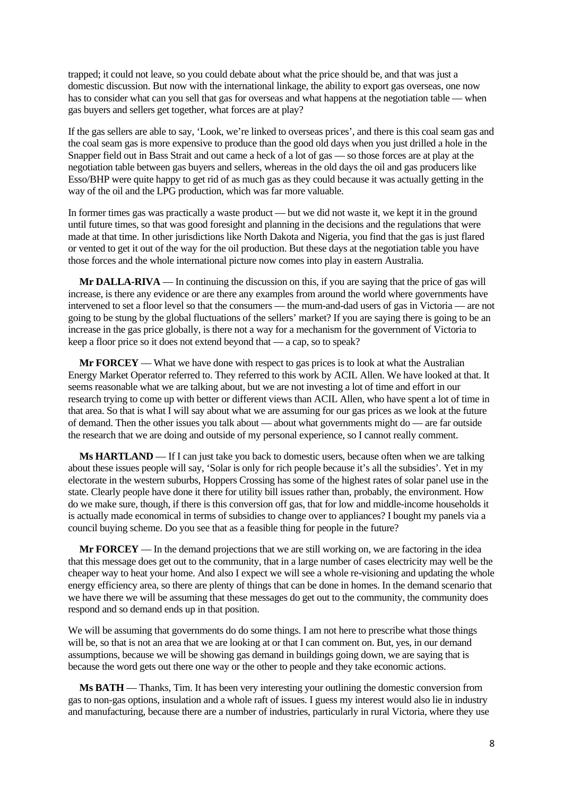trapped; it could not leave, so you could debate about what the price should be, and that was just a domestic discussion. But now with the international linkage, the ability to export gas overseas, one now has to consider what can you sell that gas for overseas and what happens at the negotiation table — when gas buyers and sellers get together, what forces are at play?

If the gas sellers are able to say, 'Look, we're linked to overseas prices', and there is this coal seam gas and the coal seam gas is more expensive to produce than the good old days when you just drilled a hole in the Snapper field out in Bass Strait and out came a heck of a lot of gas — so those forces are at play at the negotiation table between gas buyers and sellers, whereas in the old days the oil and gas producers like Esso/BHP were quite happy to get rid of as much gas as they could because it was actually getting in the way of the oil and the LPG production, which was far more valuable.

In former times gas was practically a waste product — but we did not waste it, we kept it in the ground until future times, so that was good foresight and planning in the decisions and the regulations that were made at that time. In other jurisdictions like North Dakota and Nigeria, you find that the gas is just flared or vented to get it out of the way for the oil production. But these days at the negotiation table you have those forces and the whole international picture now comes into play in eastern Australia.

**Mr DALLA-RIVA** — In continuing the discussion on this, if you are saying that the price of gas will increase, is there any evidence or are there any examples from around the world where governments have intervened to set a floor level so that the consumers — the mum-and-dad users of gas in Victoria — are not going to be stung by the global fluctuations of the sellers' market? If you are saying there is going to be an increase in the gas price globally, is there not a way for a mechanism for the government of Victoria to keep a floor price so it does not extend beyond that — a cap, so to speak?

**Mr FORCEY** — What we have done with respect to gas prices is to look at what the Australian Energy Market Operator referred to. They referred to this work by ACIL Allen. We have looked at that. It seems reasonable what we are talking about, but we are not investing a lot of time and effort in our research trying to come up with better or different views than ACIL Allen, who have spent a lot of time in that area. So that is what I will say about what we are assuming for our gas prices as we look at the future of demand. Then the other issues you talk about — about what governments might do — are far outside the research that we are doing and outside of my personal experience, so I cannot really comment.

**Ms HARTLAND** — If I can just take you back to domestic users, because often when we are talking about these issues people will say, 'Solar is only for rich people because it's all the subsidies'. Yet in my electorate in the western suburbs, Hoppers Crossing has some of the highest rates of solar panel use in the state. Clearly people have done it there for utility bill issues rather than, probably, the environment. How do we make sure, though, if there is this conversion off gas, that for low and middle-income households it is actually made economical in terms of subsidies to change over to appliances? I bought my panels via a council buying scheme. Do you see that as a feasible thing for people in the future?

**Mr FORCEY** — In the demand projections that we are still working on, we are factoring in the idea that this message does get out to the community, that in a large number of cases electricity may well be the cheaper way to heat your home. And also I expect we will see a whole re-visioning and updating the whole energy efficiency area, so there are plenty of things that can be done in homes. In the demand scenario that we have there we will be assuming that these messages do get out to the community, the community does respond and so demand ends up in that position.

We will be assuming that governments do do some things. I am not here to prescribe what those things will be, so that is not an area that we are looking at or that I can comment on. But, yes, in our demand assumptions, because we will be showing gas demand in buildings going down, we are saying that is because the word gets out there one way or the other to people and they take economic actions.

**Ms BATH** — Thanks, Tim. It has been very interesting your outlining the domestic conversion from gas to non-gas options, insulation and a whole raft of issues. I guess my interest would also lie in industry and manufacturing, because there are a number of industries, particularly in rural Victoria, where they use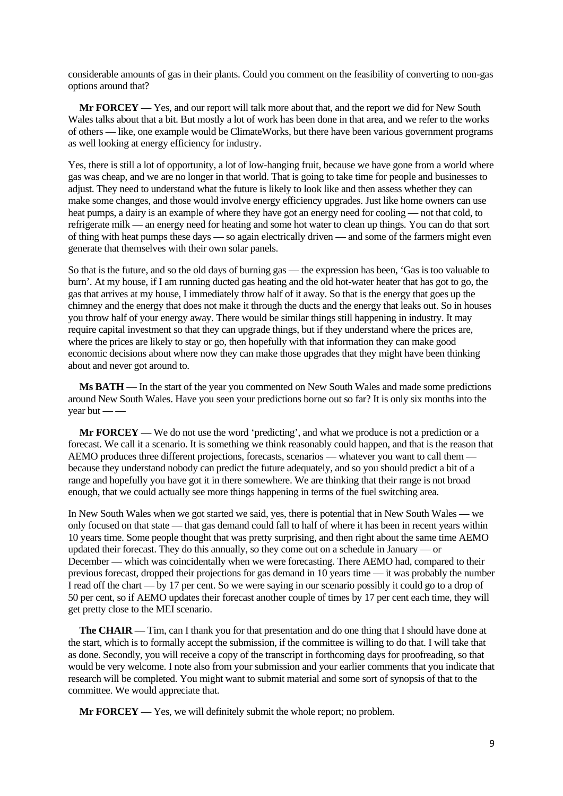considerable amounts of gas in their plants. Could you comment on the feasibility of converting to non-gas options around that?

**Mr FORCEY** — Yes, and our report will talk more about that, and the report we did for New South Wales talks about that a bit. But mostly a lot of work has been done in that area, and we refer to the works of others — like, one example would be ClimateWorks, but there have been various government programs as well looking at energy efficiency for industry.

Yes, there is still a lot of opportunity, a lot of low-hanging fruit, because we have gone from a world where gas was cheap, and we are no longer in that world. That is going to take time for people and businesses to adjust. They need to understand what the future is likely to look like and then assess whether they can make some changes, and those would involve energy efficiency upgrades. Just like home owners can use heat pumps, a dairy is an example of where they have got an energy need for cooling — not that cold, to refrigerate milk — an energy need for heating and some hot water to clean up things. You can do that sort of thing with heat pumps these days — so again electrically driven — and some of the farmers might even generate that themselves with their own solar panels.

So that is the future, and so the old days of burning gas — the expression has been, 'Gas is too valuable to burn'. At my house, if I am running ducted gas heating and the old hot-water heater that has got to go, the gas that arrives at my house, I immediately throw half of it away. So that is the energy that goes up the chimney and the energy that does not make it through the ducts and the energy that leaks out. So in houses you throw half of your energy away. There would be similar things still happening in industry. It may require capital investment so that they can upgrade things, but if they understand where the prices are, where the prices are likely to stay or go, then hopefully with that information they can make good economic decisions about where now they can make those upgrades that they might have been thinking about and never got around to.

**Ms BATH** — In the start of the year you commented on New South Wales and made some predictions around New South Wales. Have you seen your predictions borne out so far? It is only six months into the vear but  $-\frac{1}{2}$ 

**Mr FORCEY** — We do not use the word 'predicting', and what we produce is not a prediction or a forecast. We call it a scenario. It is something we think reasonably could happen, and that is the reason that AEMO produces three different projections, forecasts, scenarios — whatever you want to call them because they understand nobody can predict the future adequately, and so you should predict a bit of a range and hopefully you have got it in there somewhere. We are thinking that their range is not broad enough, that we could actually see more things happening in terms of the fuel switching area.

In New South Wales when we got started we said, yes, there is potential that in New South Wales — we only focused on that state — that gas demand could fall to half of where it has been in recent years within 10 years time. Some people thought that was pretty surprising, and then right about the same time AEMO updated their forecast. They do this annually, so they come out on a schedule in January — or December — which was coincidentally when we were forecasting. There AEMO had, compared to their previous forecast, dropped their projections for gas demand in 10 years time — it was probably the number I read off the chart — by 17 per cent. So we were saying in our scenario possibly it could go to a drop of 50 per cent, so if AEMO updates their forecast another couple of times by 17 per cent each time, they will get pretty close to the MEI scenario.

**The CHAIR** — Tim, can I thank you for that presentation and do one thing that I should have done at the start, which is to formally accept the submission, if the committee is willing to do that. I will take that as done. Secondly, you will receive a copy of the transcript in forthcoming days for proofreading, so that would be very welcome. I note also from your submission and your earlier comments that you indicate that research will be completed. You might want to submit material and some sort of synopsis of that to the committee. We would appreciate that.

**Mr FORCEY** — Yes, we will definitely submit the whole report; no problem.